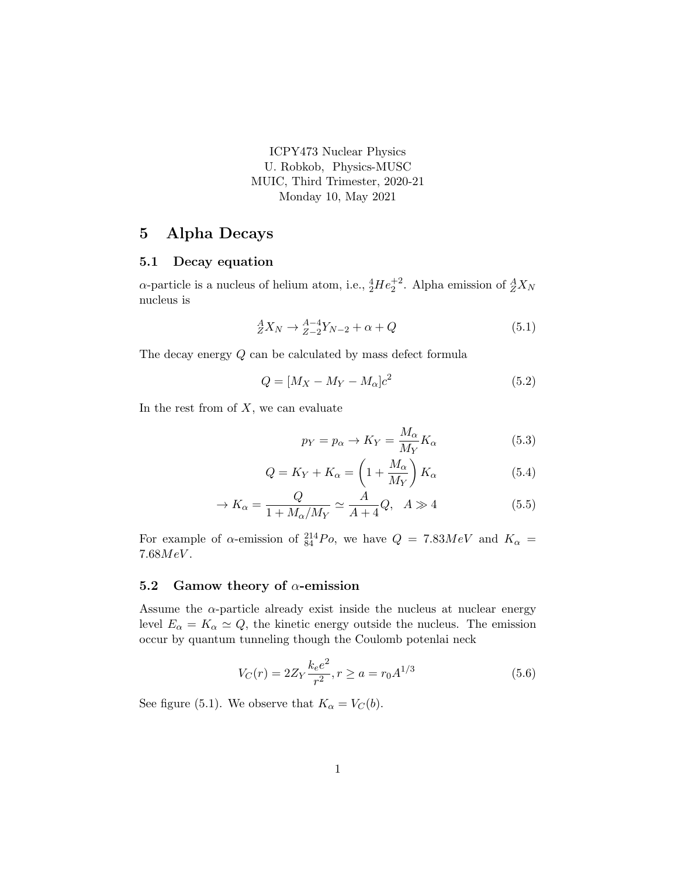ICPY473 Nuclear Physics U. Robkob, Physics-MUSC MUIC, Third Trimester, 2020-21 Monday 10, May 2021

## 5 Alpha Decays

## 5.1 Decay equation

 $\alpha$ -particle is a nucleus of helium atom, i.e.,  ${}^{4}_{2}He^{+2}_{2}$ . Alpha emission of  ${}^{A}_{Z}X_{N}$ nucleus is

$$
{}_{Z}^{A}X_{N} \rightarrow {}_{Z-2}^{A-4}Y_{N-2} + \alpha + Q \tag{5.1}
$$

The decay energy Q can be calculated by mass defect formula

$$
Q = [M_X - M_Y - M_\alpha]c^2 \tag{5.2}
$$

In the rest from of  $X$ , we can evaluate

$$
p_Y = p_\alpha \to K_Y = \frac{M_\alpha}{M_Y} K_\alpha \tag{5.3}
$$

$$
Q = K_Y + K_\alpha = \left(1 + \frac{M_\alpha}{M_Y}\right) K_\alpha \tag{5.4}
$$

$$
\rightarrow K_{\alpha} = \frac{Q}{1 + M_{\alpha}/M_Y} \simeq \frac{A}{A + 4} Q, \quad A \gg 4 \tag{5.5}
$$

For example of  $\alpha$ -emission of  $^{214}_{84}Po$ , we have  $Q = 7.83MeV$  and  $K_{\alpha} =$  $7.68MeV.$ 

## 5.2 Gamow theory of  $\alpha$ -emission

Assume the  $\alpha$ -particle already exist inside the nucleus at nuclear energy level  $E_{\alpha} = K_{\alpha} \simeq Q$ , the kinetic energy outside the nucleus. The emission occur by quantum tunneling though the Coulomb potenlai neck

$$
V_C(r) = 2Z_Y \frac{k_e e^2}{r^2}, r \ge a = r_0 A^{1/3}
$$
\n(5.6)

See figure (5.1). We observe that  $K_{\alpha} = V_C(b)$ .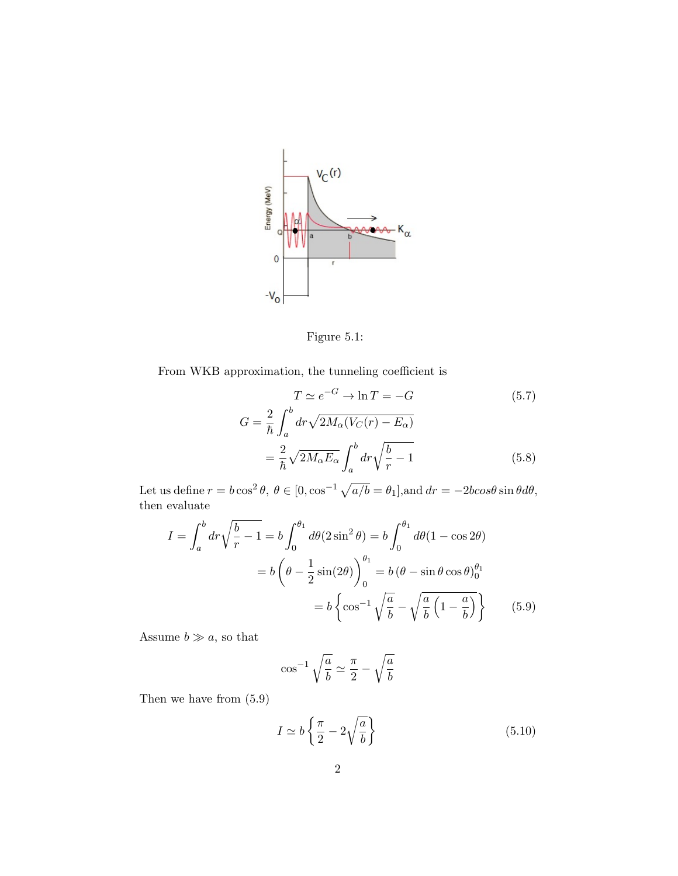

Figure 5.1:

From WKB approximation, the tunneling coefficient is

$$
T \simeq e^{-G} \to \ln T = -G \tag{5.7}
$$

$$
G = \frac{2}{\hbar} \int_{a}^{b} dr \sqrt{2M_{\alpha}(V_C(r) - E_{\alpha})} = \frac{2}{\hbar} \sqrt{2M_{\alpha}E_{\alpha}} \int_{a}^{b} dr \sqrt{\frac{b}{r} - 1} \tag{5.8}
$$

Let us define  $r = b \cos^2 \theta$ ,  $\theta \in [0, \cos^{-1} \sqrt{a/b} = \theta_1]$ , and  $dr = -2b\cos\theta \sin\theta d\theta$ , then evaluate

$$
I = \int_{a}^{b} dr \sqrt{\frac{b}{r} - 1} = b \int_{0}^{\theta_{1}} d\theta (2 \sin^{2} \theta) = b \int_{0}^{\theta_{1}} d\theta (1 - \cos 2\theta)
$$

$$
= b \left( \theta - \frac{1}{2} \sin(2\theta) \right)_{0}^{\theta_{1}} = b \left( \theta - \sin \theta \cos \theta \right)_{0}^{\theta_{1}}
$$

$$
= b \left\{ \cos^{-1} \sqrt{\frac{a}{b}} - \sqrt{\frac{a}{b} \left( 1 - \frac{a}{b} \right)} \right\} \tag{5.9}
$$

Assume  $b \gg a$ , so that

$$
\cos^{-1}\sqrt{\frac{a}{b}} \simeq \frac{\pi}{2} - \sqrt{\frac{a}{b}}
$$

Then we have from (5.9)

$$
I \simeq b \left\{ \frac{\pi}{2} - 2\sqrt{\frac{a}{b}} \right\} \tag{5.10}
$$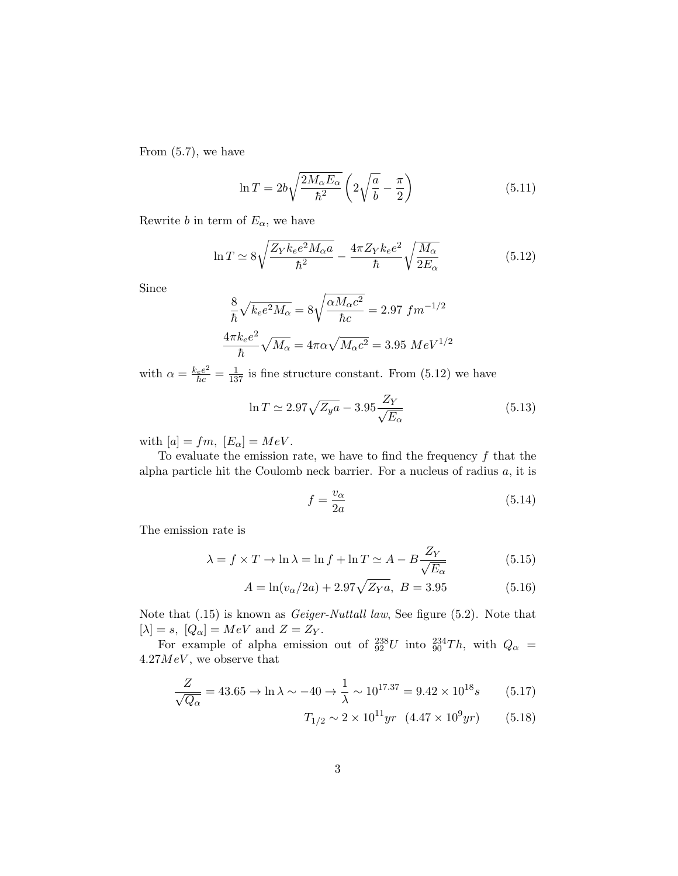From (5.7), we have

$$
\ln T = 2b\sqrt{\frac{2M_{\alpha}E_{\alpha}}{\hbar^2}} \left(2\sqrt{\frac{a}{b}} - \frac{\pi}{2}\right)
$$
\n(5.11)

Rewrite b in term of  $E_{\alpha}$ , we have

$$
\ln T \simeq 8\sqrt{\frac{Z_Y k_e e^2 M_\alpha a}{\hbar^2}} - \frac{4\pi Z_Y k_e e^2}{\hbar} \sqrt{\frac{M_\alpha}{2E_\alpha}}\tag{5.12}
$$

Since

$$
\frac{8}{\hbar}\sqrt{k_e e^2 M_\alpha} = 8\sqrt{\frac{\alpha M_\alpha c^2}{\hbar c}} = 2.97 \, fm^{-1/2}
$$

$$
\frac{4\pi k_e e^2}{\hbar}\sqrt{M_\alpha} = 4\pi \alpha \sqrt{M_\alpha c^2} = 3.95 \, MeV^{1/2}
$$

with  $\alpha = \frac{k_e e^2}{\hbar c} = \frac{1}{137}$  is fine structure constant. From (5.12) we have

$$
\ln T \simeq 2.97 \sqrt{Z_y a} - 3.95 \frac{Z_Y}{\sqrt{E_\alpha}}\tag{5.13}
$$

with  $[a] = fm$ ,  $[E_{\alpha}] = MeV$ .

To evaluate the emission rate, we have to find the frequency  $f$  that the alpha particle hit the Coulomb neck barrier. For a nucleus of radius  $a$ , it is

$$
f = \frac{v_{\alpha}}{2a} \tag{5.14}
$$

The emission rate is

$$
\lambda = f \times T \to \ln \lambda = \ln f + \ln T \simeq A - B \frac{Z_Y}{\sqrt{E_\alpha}} \tag{5.15}
$$

$$
A = \ln(v_{\alpha}/2a) + 2.97\sqrt{Z_{Y}a}, \ B = 3.95 \tag{5.16}
$$

Note that (.15) is known as Geiger-Nuttall law, See figure (5.2). Note that  $[\lambda] = s$ ,  $[Q_{\alpha}] = MeV$  and  $Z = Z_Y$ .

For example of alpha emission out of  $^{238}_{92}U$  into  $^{234}_{90}Th$ , with  $Q_{\alpha}$  =  $4.27MeV$ , we observe that

$$
\frac{Z}{\sqrt{Q_{\alpha}}} = 43.65 \to \ln \lambda \sim -40 \to \frac{1}{\lambda} \sim 10^{17.37} = 9.42 \times 10^{18} s \tag{5.17}
$$

$$
T_{1/2} \sim 2 \times 10^{11} yr \quad (4.47 \times 10^9 yr) \tag{5.18}
$$